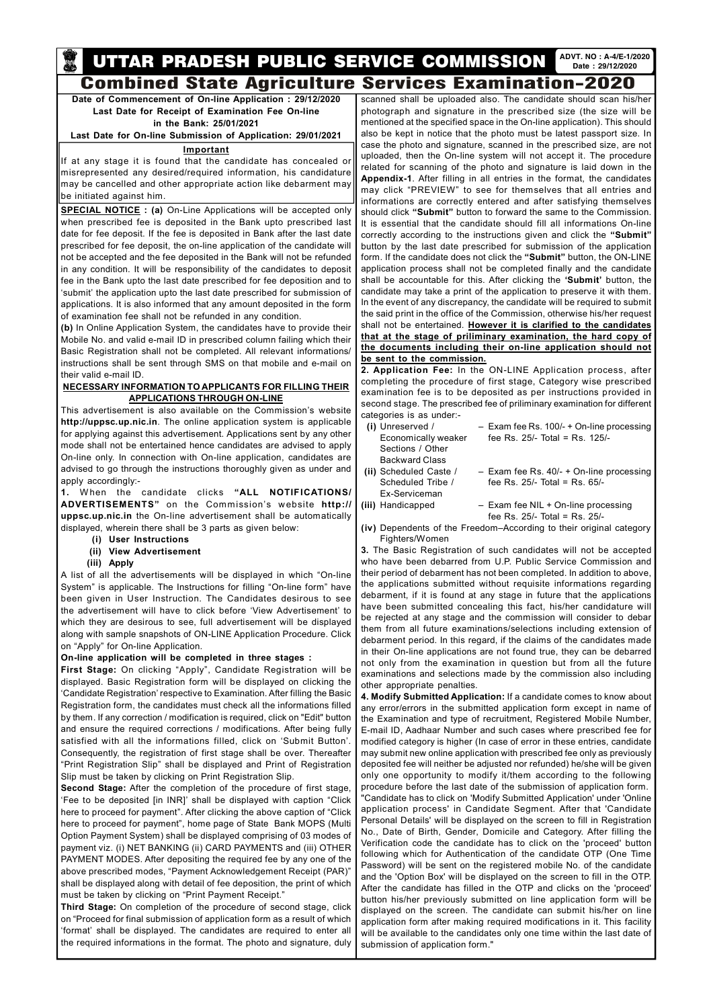**Date of Commencement of On-line Application : 29/12/2020 Last Date for Receipt of Examination Fee On-line in the Bank: 25/01/2021**

**Last Date for On-line Submission of Application: 29/01/2021**

## **Important**

If at any stage it is found that the candidate has concealed or misrepresented any desired/required information, his candidature may be cancelled and other appropriate action like debarment may be initiated against him.

**SPECIAL NOTICE : (a)** On-Line Applications will be accepted only when prescribed fee is deposited in the Bank upto prescribed last date for fee deposit. If the fee is deposited in Bank after the last date prescribed for fee deposit, the on-line application of the candidate will not be accepted and the fee deposited in the Bank will not be refunded in any condition. It will be responsibility of the candidates to deposit fee in the Bank upto the last date prescribed for fee deposition and to 'submit' the application upto the last date prescribed for submission of applications. It is also informed that any amount deposited in the form of examination fee shall not be refunded in any condition.

**(b)** In Online Application System, the candidates have to provide their Mobile No. and valid e-mail ID in prescribed column failing which their Basic Registration shall not be completed. All relevant informations/ instructions shall be sent through SMS on that mobile and e-mail on their valid e-mail ID.

# **NECESSARY INFORMATION TO APPLICANTS FOR FILLING THEIR APPLICATIONS THROUGH ON-LINE**

This advertisement is also available on the Commission's website **http://uppsc.up.nic.in**. The online application system is applicable for applying against this advertisement. Applications sent by any other mode shall not be entertained hence candidates are advised to apply On-line only. In connection with On-line application, candidates are advised to go through the instructions thoroughly given as under and apply accordingly:-

**1.** When the candidate clicks **"ALL NOTIFICATIONS/ ADVERTISEMENTS"** on the Commission's website **http:// uppsc.up.nic.in** the On-line advertisement shall be automatically displayed, wherein there shall be 3 parts as given below:

- **(i) User Instructions**
- **(ii) View Advertisement**
- **(iii) Apply**

meeld seal

A list of all the advertisements will be displayed in which "On-line System" is applicable. The Instructions for filling "On-line form" have been given in User Instruction. The Candidates desirous to see the advertisement will have to click before 'View Advertisement' to which they are desirous to see, full advertisement will be displayed along with sample snapshots of ON-LINE Application Procedure. Click on "Apply" for On-line Application.

# **On-line application will be completed in three stages :**

**First Stage:** On clicking "Apply", Candidate Registration will be displayed. Basic Registration form will be displayed on clicking the 'Candidate Registration' respective to Examination. After filling the Basic Registration form, the candidates must check all the informations filled by them. If any correction / modification is required, click on "Edit" button and ensure the required corrections / modifications. After being fully satisfied with all the informations filled, click on 'Submit Button'. Consequently, the registration of first stage shall be over. Thereafter "Print Registration Slip" shall be displayed and Print of Registration Slip must be taken by clicking on Print Registration Slip. **Second Stage:** After the completion of the procedure of first stage, 'Fee to be deposited [in INR]' shall be displayed with caption "Click here to proceed for payment". After clicking the above caption of "Click here to proceed for payment", home page of State Bank MOPS (Multi Option Payment System) shall be displayed comprising of 03 modes of payment viz. (i) NET BANKING (ii) CARD PAYMENTS and (iii) OTHER PAYMENT MODES. After depositing the required fee by any one of the above prescribed modes, "Payment Acknowledgement Receipt (PAR)" shall be displayed along with detail of fee deposition, the print of which must be taken by clicking on "Print Payment Receipt." **Third Stage:** On completion of the procedure of second stage, click on "Proceed for final submission of application form as a result of which 'format' shall be displayed. The candidates are required to enter all the required informations in the format. The photo and signature, duly

# **UTTAR PRADESH PUBLIC SERVICE COMMISSION** ADVT. NO: A-4/E-1/2020 Combined State Agriculture Services Examination-2020

scanned shall be uploaded also. The candidate should scan his/her photograph and signature in the prescribed size (the size will be mentioned at the specified space in the On-line application). This should also be kept in notice that the photo must be latest passport size. In case the photo and signature, scanned in the prescribed size, are not uploaded, then the On-line system will not accept it. The procedure related for scanning of the photo and signature is laid down in the **Appendix-1**. After filling in all entries in the format, the candidates may click "PREVIEW" to see for themselves that all entries and informations are correctly entered and after satisfying themselves should click **"Submit"** button to forward the same to the Commission. It is essential that the candidate should fill all informations On-line correctly according to the instructions given and click the **"Submit"** button by the last date prescribed for submission of the application form. If the candidate does not click the **"Submit"** button, the ON-LINE application process shall not be completed finally and the candidate shall be accountable for this. After clicking the **'Submit'** button, the candidate may take a print of the application to preserve it with them. In the event of any discrepancy, the candidate will be required to submit the said print in the office of the Commission, otherwise his/her request shall not be entertained. **However it is clarified to the candidates that at the stage of priliminary examination, the hard copy of the documents including their on-line application should not be sent to the commission.**

**2. Application Fee:** In the ON-LINE Application process, after completing the procedure of first stage, Category wise prescribed examination fee is to be deposited as per instructions provided in second stage. The prescribed fee of priliminary examination for different categories is as under:-

- **(i)** Unreserved / Exam fee Rs. 100/- + On-line processing Economically weaker fee Rs. 25/- Total = Rs. 125/- Sections / Other Backward Class **(ii)** Scheduled Caste / – Exam fee Rs. 40/- + On-line processing Scheduled Tribe / fee Rs. 25/- Total = Rs. 65/-
- Ex-Serviceman
- **(iii)** Handicapped Exam fee NIL + On-line processing fee Rs. 25/- Total = Rs. 25/-
- **(iv)** Dependents of the Freedom–According to their original category Fighters/Women

**3.** The Basic Registration of such candidates will not be accepted who have been debarred from U.P. Public Service Commission and their period of debarment has not been completed. In addition to above, the applications submitted without requisite informations regarding debarment, if it is found at any stage in future that the applications have been submitted concealing this fact, his/her candidature will be rejected at any stage and the commission will consider to debar them from all future examinations/selections including extension of debarment period. In this regard, if the claims of the candidates made in their On-line applications are not found true, they can be debarred not only from the examination in question but from all the future examinations and selections made by the commission also including other appropriate penalties.

**4. Modify Submitted Application:** If a candidate comes to know about any error/errors in the submitted application form except in name of the Examination and type of recruitment, Registered Mobile Number, E-mail ID, Aadhaar Number and such cases where prescribed fee for modified category is higher (In case of error in these entries, candidate may submit new online application with prescribed fee only as previously deposited fee will neither be adjusted nor refunded) he/she will be given only one opportunity to modify it/them according to the following procedure before the last date of the submission of application form. "Candidate has to click on 'Modify Submitted Application' under 'Online application process' in Candidate Segment. After that 'Candidate Personal Details' will be displayed on the screen to fill in Registration No., Date of Birth, Gender, Domicile and Category. After filling the Verification code the candidate has to click on the 'proceed' button following which for Authentication of the candidate OTP (One Time Password) will be sent on the registered mobile No. of the candidate and the 'Option Box' will be displayed on the screen to fill in the OTP. After the candidate has filled in the OTP and clicks on the 'proceed' button his/her previously submitted on line application form will be displayed on the screen. The candidate can submit his/her on line application form after making required modifications in it. This facility will be available to the candidates only one time within the last date of submission of application form."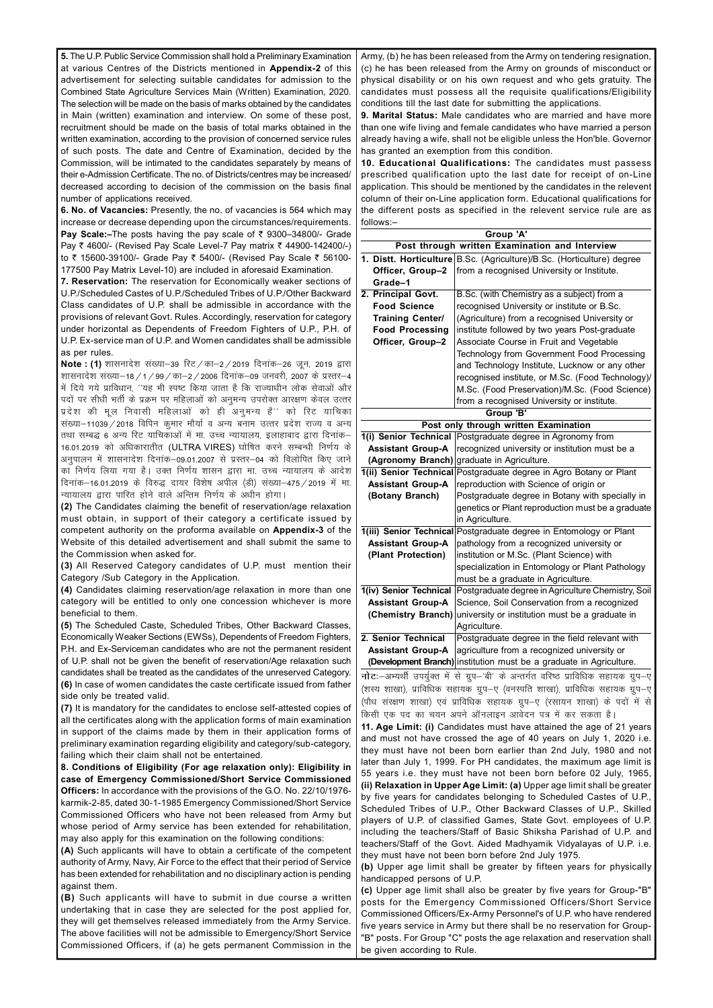**5.** The U.P. Public Service Commission shall hold a Preliminary Examination at various Centres of the Districts mentioned in **Appendix-2** of this advertisement for selecting suitable candidates for admission to the Combined State Agriculture Services Main (Written) Examination, 2020. The selection will be made on the basis of marks obtained by the candidates in Main (written) examination and interview. On some of these post, recruitment should be made on the basis of total marks obtained in the written examination, according to the provision of concerned service rules of such posts. The date and Centre of Examination, decided by the Commission, will be intimated to the candidates separately by means of their e-Admission Certificate. The no. of Districts/centres may be increased/ decreased according to decision of the commission on the basis final number of applications received.

**6. No. of Vacancies:** Presently, the no. of vacancies is 564 which may increase or decrease depending upon the circumstances/requirements. **Pay Scale:**–The posts having the pay scale of ₹ 9300–34800/- Grade Pay ₹ 4600/- (Revised Pay Scale Level-7 Pay matrix ₹ 44900-142400/-) to ₹ 15600-39100/- Grade Pay ₹ 5400/- (Revised Pay Scale ₹ 56100-177500 Pay Matrix Level-10) are included in aforesaid Examination.

**7. Reservation:** The reservation for Economically weaker sections of U.P./Scheduled Castes of U.P./Scheduled Tribes of U.P./Other Backward Class candidates of U.P. shall be admissible in accordance with the provisions of relevant Govt. Rules. Accordingly, reservation for category under horizontal as Dependents of Freedom Fighters of U.P., P.H. of U.P. Ex-service man of U.P. and Women candidates shall be admissible as per rules.

**Note : (1)** शासनादेश संख्या–39 रिट / का–2 / 2019 दिनांक–26 जून, 2019 द्वारा शासनादेश संख्या–18 / 1 / 99 / का–2 / 2006 दिनांक–09 जनवरी, 2007 के प्रस्तर–4 में दिये गये प्राविधान, ''यह भी स्पष्ट किया जाता है कि राज्याधीन लोक सेवाओं और पदों पर सीधी भर्ती के प्रक्रम पर महिलाओं को अनुमन्य उपरोक्त आरक्षण केवल उत्तर प्रदेश की मूल निवासी महिलाओं को ही अनुमन्य है'' को रिट याचिका संख्या–11039 / 2018 विपिन कुमार मौर्या व अन्य बनाम उत्त्तर प्रदेश राज्य व अन्य तथा सम्बद्ध 6 अन्य रिट याचिकाओं में मा. उच्च न्यायालय, इलाहाबाद द्वारा दिनांक– 16.01.2019 को अधिकारातीत (ULTRA VIRES) घोषित करने सम्बन्धी निर्णय के अनुपालन में शासनादेश दिनांक—09.01.2007 से प्रस्तर—04 को विलोपित किए जाने का निर्णय लिया गया है। उक्त निर्णय शासन द्वारा मा. उच्च न्यायालय के आदेश दिनांक-16.01.2019 के विरुद्ध दायर विशेष अपील (डी) संख्या-475 / 2019 में मा. न्यायालय द्वारा पारित होने वाले अन्तिम निर्णय के अधीन होगा।

**(2)** The Candidates claiming the benefit of reservation/age relaxation must obtain, in support of their category a certificate issued by competent authority on the proforma available on **Appendix-3** of the Website of this detailed advertisement and shall submit the same to the Commission when asked for.

**(3)** All Reserved Category candidates of U.P. must mention their Category /Sub Category in the Application.

**(4)** Candidates claiming reservation/age relaxation in more than one category will be entitled to only one concession whichever is more beneficial to them.

**(5)** The Scheduled Caste, Scheduled Tribes, Other Backward Classes, Economically Weaker Sections (EWSs), Dependents of Freedom Fighters, P.H. and Ex-Serviceman candidates who are not the permanent resident of U.P. shall not be given the benefit of reservation/Age relaxation such candidates shall be treated as the candidates of the unreserved Category. **(6)** In case of women candidates the caste certificate issued from father side only be treated valid.

**(7)** It is mandatory for the candidates to enclose self-attested copies of all the certificates along with the application forms of main examination in support of the claims made by them in their application forms of preliminary examination regarding eligibility and category/sub-category, failing which their claim shall not be entertained.

**8. Conditions of Eligibility (For age relaxation only): Eligibility in case of Emergency Commissioned/Short Service Commissioned Officers:** In accordance with the provisions of the G.O. No. 22/10/1976 karmik-2-85, dated 30-1-1985 Emergency Commissioned/Short Service Commissioned Officers who have not been released from Army but whose period of Army service has been extended for rehabilitation, may also apply for this examination on the following conditions:

**(A)** Such applicants will have to obtain a certificate of the competent authority of Army, Navy, Air Force to the effect that their period of Service has been extended for rehabilitation and no disciplinary action is pending against them.

**(B)** Such applicants will have to submit in due course a written undertaking that in case they are selected for the post applied for, they will get themselves released immediately from the Army Service. The above facilities will not be admissible to Emergency/Short Service Commissioned Officers, if (a) he gets permanent Commission in the

Army, (b) he has been released from the Army on tendering resignation, (c) he has been released from the Army on grounds of misconduct or physical disability or on his own request and who gets gratuity. The candidates must possess all the requisite qualifications/Eligibility conditions till the last date for submitting the applications.

**9. Marital Status:** Male candidates who are married and have more than one wife living and female candidates who have married a person already having a wife, shall not be eligible unless the Hon'ble. Governor has granted an exemption from this condition.

**10. Educational Qualifications:** The candidates must passess prescribed qualification upto the last date for receipt of on-Line application. This should be mentioned by the candidates in the relevent column of their on-Line application form. Educational qualifications for the different posts as specified in the relevent service rule are as follows:–

|                                                                                      | Group 'A'                                                              |  |  |  |
|--------------------------------------------------------------------------------------|------------------------------------------------------------------------|--|--|--|
|                                                                                      | Post through written Examination and Interview                         |  |  |  |
|                                                                                      | 1. Distt. Horticulture B.Sc. (Agriculture)/B.Sc. (Horticulture) degree |  |  |  |
| Officer, Group-2                                                                     | from a recognised University or Institute.                             |  |  |  |
| Grade-1                                                                              |                                                                        |  |  |  |
| 2. Principal Govt.                                                                   | B.Sc. (with Chemistry as a subject) from a                             |  |  |  |
| <b>Food Science</b>                                                                  | recognised University or institute or B.Sc.                            |  |  |  |
| <b>Training Center/</b>                                                              | (Agriculture) from a recognised University or                          |  |  |  |
| <b>Food Processing</b>                                                               | institute followed by two years Post-graduate                          |  |  |  |
| Officer, Group-2                                                                     | Associate Course in Fruit and Vegetable                                |  |  |  |
|                                                                                      | Technology from Government Food Processing                             |  |  |  |
|                                                                                      | and Technology Institute, Lucknow or any other                         |  |  |  |
|                                                                                      | recognised institute, or M.Sc. (Food Technology)/                      |  |  |  |
|                                                                                      | M.Sc. (Food Preservation)/M.Sc. (Food Science)                         |  |  |  |
|                                                                                      | from a recognised University or institute.                             |  |  |  |
|                                                                                      | Group 'B'                                                              |  |  |  |
|                                                                                      | Post only through written Examination                                  |  |  |  |
| 1(i) Senior Technical                                                                | Postgraduate degree in Agronomy from                                   |  |  |  |
| <b>Assistant Group-A</b>                                                             | recognized university or institution must be a                         |  |  |  |
| (Agronomy Branch)<br>graduate in Agriculture.                                        |                                                                        |  |  |  |
| 1(ii) Senior Technical Postgraduate degree in Agro Botany or Plant                   |                                                                        |  |  |  |
| <b>Assistant Group-A</b>                                                             | reproduction with Science of origin or                                 |  |  |  |
| (Botany Branch)                                                                      | Postgraduate degree in Botany with specially in                        |  |  |  |
|                                                                                      | genetics or Plant reproduction must be a graduate                      |  |  |  |
|                                                                                      | in Agriculture.                                                        |  |  |  |
| 1(iii) Senior Technical                                                              | Postgraduate degree in Entomology or Plant                             |  |  |  |
| <b>Assistant Group-A</b>                                                             | pathology from a recognized university or                              |  |  |  |
| (Plant Protection)                                                                   | institution or M.Sc. (Plant Science) with                              |  |  |  |
|                                                                                      | specialization in Entomology or Plant Pathology                        |  |  |  |
|                                                                                      | must be a graduate in Agriculture.                                     |  |  |  |
| 1(iv) Senior Technical                                                               | Postgraduate degree in Agriculture Chemistry, Soil                     |  |  |  |
| <b>Assistant Group-A</b>                                                             | Science, Soil Conservation from a recognized                           |  |  |  |
|                                                                                      | (Chemistry Branch) university or institution must be a graduate in     |  |  |  |
|                                                                                      | Agriculture.                                                           |  |  |  |
| 2. Senior Technical                                                                  | Postgraduate degree in the field relevant with                         |  |  |  |
| <b>Assistant Group-A</b>                                                             | agriculture from a recognized university or                            |  |  |  |
|                                                                                      | (Development Branch) institution must be a graduate in Agriculture.    |  |  |  |
| नोटः-अभ्यर्थी उपर्युक्त में से ग्रुप-'बी' के अन्तर्गत वरिष्ठ प्राविधिक सहायक ग्रुप-ए |                                                                        |  |  |  |
| (शस्य शाखा), प्राविधिक सहायक ग्रुप—ए (वनस्पति शाखा), प्राविधिक सहायक ग्रुप—ए         |                                                                        |  |  |  |
| (पौध संरक्षण शाखा) एवं प्राविधिक सहायक ग्रुप-ए (रसायन शाखा) के पदों में से           |                                                                        |  |  |  |
| किसी एक पद का चयन अपने ऑनलाइन आवेदन पत्र में कर सकता है।                             |                                                                        |  |  |  |
| 11. Age Limit: (i) Candidates must have attained the age of 21 years                 |                                                                        |  |  |  |
| and must not have crossed the age of 40 years on July 1, 2020 i.e.                   |                                                                        |  |  |  |
| they must have not been born earlier than 2nd July, 1980 and not                     |                                                                        |  |  |  |
| $1.1.4$ AOOO Fax DII aanalalada a                                                    |                                                                        |  |  |  |

later than July 1, 1999. For PH candidates, the maximum age limit is 55 years i.e. they must have not been born before 02 July, 1965, **(ii) Relaxation in Upper Age Limit: (a)** Upper age limit shall be greater by five years for candidates belonging to Scheduled Castes of U.P. Scheduled Tribes of U.P., Other Backward Classes of U.P., Skilled players of U.P. of classified Games, State Govt. employees of U.P. including the teachers/Staff of Basic Shiksha Parishad of U.P. and teachers/Staff of the Govt. Aided Madhyamik Vidyalayas of U.P. i.e. they must have not been born before 2nd July 1975.

**(b)** Upper age limit shall be greater by fifteen years for physically handicapped persons of U.P.

**(c)** Upper age limit shall also be greater by five years for Group-"B" posts for the Emergency Commissioned Officers/Short Service Commissioned Officers/Ex-Army Personnel's of U.P. who have rendered five years service in Army but there shall be no reservation for Group- "B" posts. For Group "C" posts the age relaxation and reservation shall be given according to Rule.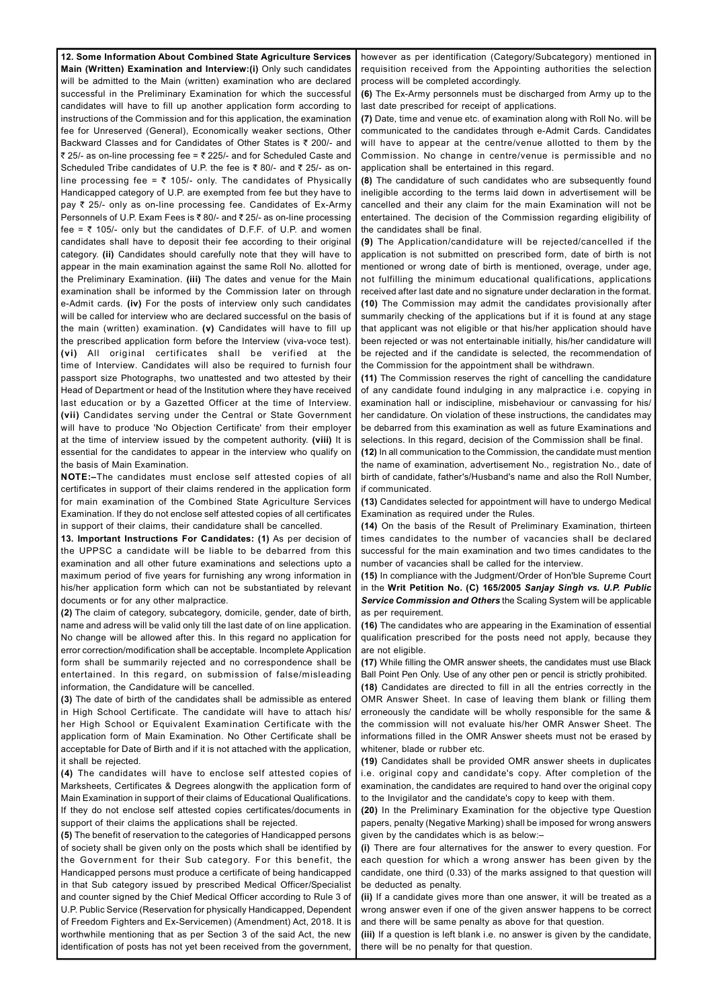**12. Some Information About Combined State Agriculture Services Main (Written) Examination and Interview:(i)** Only such candidates will be admitted to the Main (written) examination who are declared successful in the Preliminary Examination for which the successful candidates will have to fill up another application form according to instructions of the Commission and for this application, the examination fee for Unreserved (General), Economically weaker sections, Other Backward Classes and for Candidates of Other States is  $\bar{\tau}$  200/- and ₹ 25/- as on-line processing fee = ₹ 225/- and for Scheduled Caste and Scheduled Tribe candidates of U.P. the fee is  $\bar{\tau}$  80/- and  $\bar{\tau}$  25/- as online processing fee =  $\overline{\zeta}$  105/- only. The candidates of Physically Handicapped category of U.P. are exempted from fee but they have to pay  $\bar{\tau}$  25/- only as on-line processing fee. Candidates of Ex-Army Personnels of U.P. Exam Fees is  $\bar{\tau}$  80/- and  $\bar{\tau}$  25/- as on-line processing fee =  $\bar{\tau}$  105/- only but the candidates of D.F.F. of U.P. and women candidates shall have to deposit their fee according to their original category. **(ii)** Candidates should carefully note that they will have to appear in the main examination against the same Roll No. allotted for the Preliminary Examination. **(iii)** The dates and venue for the Main examination shall be informed by the Commission later on through e-Admit cards. **(iv)** For the posts of interview only such candidates will be called for interview who are declared successful on the basis of the main (written) examination. **(v)** Candidates will have to fill up the prescribed application form before the Interview (viva-voce test). **(vi)** All original certificates shall be verified at the time of Interview. Candidates will also be required to furnish four passport size Photographs, two unattested and two attested by their Head of Department or head of the Institution where they have received last education or by a Gazetted Officer at the time of Interview. **(vii)** Candidates serving under the Central or State Government will have to produce 'No Objection Certificate' from their employer at the time of interview issued by the competent authority. **(viii)** It is essential for the candidates to appear in the interview who qualify on the basis of Main Examination.

**NOTE:–**The candidates must enclose self attested copies of all certificates in support of their claims rendered in the application form for main examination of the Combined State Agriculture Services Examination. If they do not enclose self attested copies of all certificates in support of their claims, their candidature shall be cancelled.

**13. Important Instructions For Candidates: (1)** As per decision of the UPPSC a candidate will be liable to be debarred from this examination and all other future examinations and selections upto a maximum period of five years for furnishing any wrong information in his/her application form which can not be substantiated by relevant documents or for any other malpractice.

**(2)** The claim of category, subcategory, domicile, gender, date of birth, name and adress will be valid only till the last date of on line application. No change will be allowed after this. In this regard no application for error correction/modification shall be acceptable. Incomplete Application form shall be summarily rejected and no correspondence shall be entertained. In this regard, on submission of false/misleading information, the Candidature will be cancelled.

**(3)** The date of birth of the candidates shall be admissible as entered in High School Certificate. The candidate will have to attach his/ her High School or Equivalent Examination Certificate with the application form of Main Examination. No Other Certificate shall be acceptable for Date of Birth and if it is not attached with the application,

it shall be rejected.

**(4)** The candidates will have to enclose self attested copies of Marksheets, Certificates & Degrees alongwith the application form of Main Examination in support of their claims of Educational Qualifications. If they do not enclose self attested copies certificates/documents in support of their claims the applications shall be rejected.

**(5)** The benefit of reservation to the categories of Handicapped persons of society shall be given only on the posts which shall be identified by the Government for their Sub category. For this benefit, the Handicapped persons must produce a certificate of being handicapped in that Sub category issued by prescribed Medical Officer/Specialist and counter signed by the Chief Medical Officer according to Rule 3 of U.P. Public Service (Reservation for physically Handicapped, Dependent of Freedom Fighters and Ex-Servicemen) (Amendment) Act, 2018. It is worthwhile mentioning that as per Section 3 of the said Act, the new identification of posts has not yet been received from the government,

however as per identification (Category/Subcategory) mentioned in requisition received from the Appointing authorities the selection process will be completed accordingly.

**(6)** The Ex-Army personnels must be discharged from Army up to the last date prescribed for receipt of applications.

**(7)** Date, time and venue etc. of examination along with Roll No. will be communicated to the candidates through e-Admit Cards. Candidates will have to appear at the centre/venue allotted to them by the Commission. No change in centre/venue is permissible and no application shall be entertained in this regard.

**(8)** The candidature of such candidates who are subsequently found ineligible according to the terms laid down in advertisement will be cancelled and their any claim for the main Examination will not be entertained. The decision of the Commission regarding eligibility of the candidates shall be final.

**(9)** The Application/candidature will be rejected/cancelled if the application is not submitted on prescribed form, date of birth is not mentioned or wrong date of birth is mentioned, overage, under age, not fulfilling the minimum educational qualifications, applications received after last date and no signature under declaration in the format. **(10)** The Commission may admit the candidates provisionally after summarily checking of the applications but if it is found at any stage that applicant was not eligible or that his/her application should have been rejected or was not entertainable initially, his/her candidature will be rejected and if the candidate is selected, the recommendation of the Commission for the appointment shall be withdrawn.

**(11)** The Commission reserves the right of cancelling the candidature of any candidate found indulging in any malpractice i.e. copying in examination hall or indiscipline, misbehaviour or canvassing for his/ her candidature. On violation of these instructions, the candidates may be debarred from this examination as well as future Examinations and selections. In this regard, decision of the Commission shall be final.

**(12)** In all communication to the Commission, the candidate must mention the name of examination, advertisement No., registration No., date of birth of candidate, father's/Husband's name and also the Roll Number, if communicated.

**(13)** Candidates selected for appointment will have to undergo Medical Examination as required under the Rules.

**(14)** On the basis of the Result of Preliminary Examination, thirteen times candidates to the number of vacancies shall be declared successful for the main examination and two times candidates to the number of vacancies shall be called for the interview.

**(15)** In compliance with the Judgment/Order of Hon'ble Supreme Court in the **Writ Petition No. (C) 165/2005** *Sanjay Singh vs. U.P. Public Service Commission and Others* the Scaling System will be applicable as per requirement.

**(16)** The candidates who are appearing in the Examination of essential qualification prescribed for the posts need not apply, because they are not eligible.

**(17)** While filling the OMR answer sheets, the candidates must use Black Ball Point Pen Only. Use of any other pen or pencil is strictly prohibited.

**(18)** Candidates are directed to fill in all the entries correctly in the OMR Answer Sheet. In case of leaving them blank or filling them erroneously the candidate will be wholly responsible for the same & the commission will not evaluate his/her OMR Answer Sheet. The informations filled in the OMR Answer sheets must not be erased by whitener, blade or rubber etc.

**(19)** Candidates shall be provided OMR answer sheets in duplicates i.e. original copy and candidate's copy. After completion of the examination, the candidates are required to hand over the original copy to the Invigilator and the candidate's copy to keep with them.

**(20)** In the Preliminary Examination for the objective type Question papers, penalty (Negative Marking) shall be imposed for wrong answers given by the candidates which is as below:–

**(i)** There are four alternatives for the answer to every question. For each question for which a wrong answer has been given by the candidate, one third (0.33) of the marks assigned to that question will be deducted as penalty.

**(ii)** If a candidate gives more than one answer, it will be treated as a wrong answer even if one of the given answer happens to be correct and there will be same penalty as above for that question.

**(iii)** If a question is left blank i.e. no answer is given by the candidate, there will be no penalty for that question.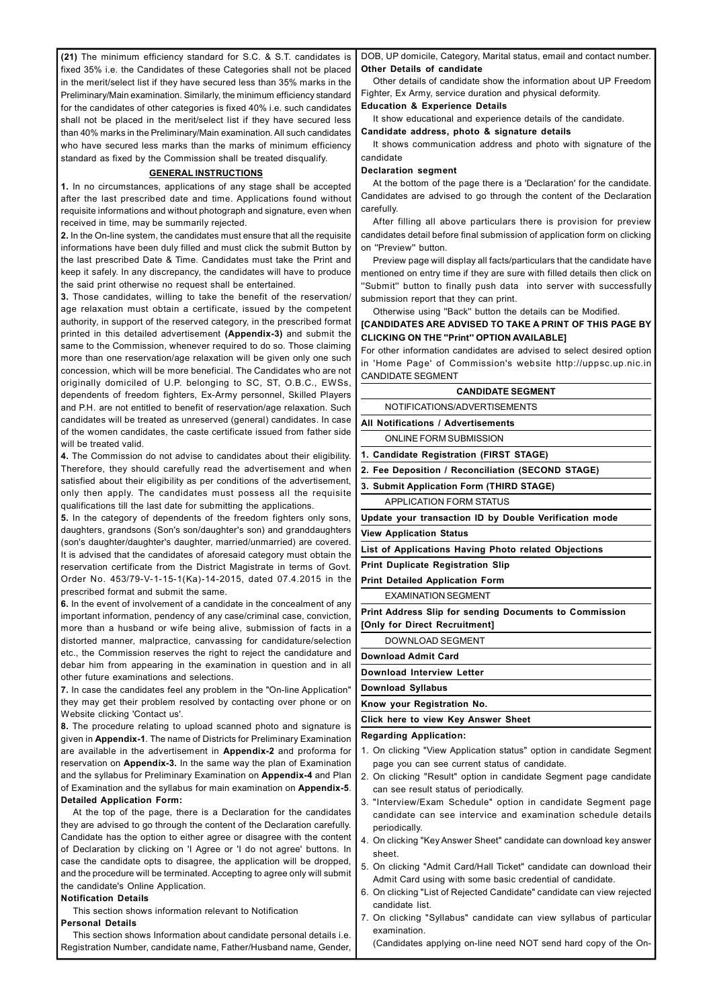**(21)** The minimum efficiency standard for S.C. & S.T. candidates is fixed 35% i.e. the Candidates of these Categories shall not be placed in the merit/select list if they have secured less than 35% marks in the Preliminary/Main examination. Similarly, the minimum efficiency standard for the candidates of other categories is fixed 40% i.e. such candidates shall not be placed in the merit/select list if they have secured less than 40% marks in the Preliminary/Main examination. All such candidates who have secured less marks than the marks of minimum efficiency standard as fixed by the Commission shall be treated disqualify.

## **GENERAL INSTRUCTIONS**

**1.** In no circumstances, applications of any stage shall be accepted after the last prescribed date and time. Applications found without requisite informations and without photograph and signature, even when received in time, may be summarily rejected.

**2.** In the On-line system, the candidates must ensure that all the requisite informations have been duly filled and must click the submit Button by the last prescribed Date & Time. Candidates must take the Print and keep it safely. In any discrepancy, the candidates will have to produce the said print otherwise no request shall be entertained.

**3.** Those candidates, willing to take the benefit of the reservation/ age relaxation must obtain a certificate, issued by the competent authority, in support of the reserved category, in the prescribed format printed in this detailed advertisement **(Appendix-3)** and submit the same to the Commission, whenever required to do so. Those claiming more than one reservation/age relaxation will be given only one such concession, which will be more beneficial. The Candidates who are not originally domiciled of U.P. belonging to SC, ST, O.B.C., EWSs, dependents of freedom fighters, Ex-Army personnel, Skilled Players and P.H. are not entitled to benefit of reservation/age relaxation. Such candidates will be treated as unreserved (general) candidates. In case of the women candidates, the caste certificate issued from father side will be treated valid.

**4.** The Commission do not advise to candidates about their eligibility. Therefore, they should carefully read the advertisement and when satisfied about their eligibility as per conditions of the advertisement, only then apply. The candidates must possess all the requisite qualifications till the last date for submitting the applications.

**5.** In the category of dependents of the freedom fighters only sons, daughters, grandsons (Son's son/daughter's son) and granddaughters (son's daughter/daughter's daughter, married/unmarried) are covered. It is advised that the candidates of aforesaid category must obtain the reservation certificate from the District Magistrate in terms of Govt. Order No. 453/79-V-1-15-1(Ka)-14-2015, dated 07.4.2015 in the prescribed format and submit the same.

**6.** In the event of involvement of a candidate in the concealment of any important information, pendency of any case/criminal case, conviction, more than a husband or wife being alive, submission of facts in a distorted manner, malpractice, canvassing for candidature/selection etc., the Commission reserves the right to reject the candidature and debar him from appearing in the examination in question and in all other future examinations and selections.

**7.** In case the candidates feel any problem in the "On-line Application" they may get their problem resolved by contacting over phone or on Website clicking 'Contact us'.

**8.** The procedure relating to upload scanned photo and signature is given in **Appendix-1**. The name of Districts for Preliminary Examination are available in the advertisement in **Appendix-2** and proforma for reservation on **Appendix-3.** In the same way the plan of Examination and the syllabus for Preliminary Examination on **Appendix-4** and Plan of Examination and the syllabus for main examination on **Appendix-5**. **Detailed Application Form:** At the top of the page, there is a Declaration for the candidates they are advised to go through the content of the Declaration carefully. Candidate has the option to either agree or disagree with the content of Declaration by clicking on 'I Agree or 'I do not agree' buttons. In case the candidate opts to disagree, the application will be dropped, and the procedure will be terminated. Accepting to agree only will submit the candidate's Online Application.

# **Notification Details**

This section shows information relevant to Notification

# **Personal Details**

This section shows Information about candidate personal details i.e. Registration Number, candidate name, Father/Husband name, Gender, DOB, UP domicile, Category, Marital status, email and contact number. **Other Details of candidate**

Other details of candidate show the information about UP Freedom Fighter, Ex Army, service duration and physical deformity.

## **Education & Experience Details**

It show educational and experience details of the candidate.

**Candidate address, photo & signature details**

It shows communication address and photo with signature of the candidate

## **Declaration segment**

At the bottom of the page there is a 'Declaration' for the candidate. Candidates are advised to go through the content of the Declaration carefully.

After filling all above particulars there is provision for preview candidates detail before final submission of application form on clicking on ''Preview'' button.

Preview page will display all facts/particulars that the candidate have mentioned on entry time if they are sure with filled details then click on ''Submit'' button to finally push data into server with successfully submission report that they can print.

Otherwise using ''Back'' button the details can be Modified.

# **[CANDIDATES ARE ADVISED TO TAKE A PRINT OF THIS PAGE BY CLICKING ON THE ''Print'' OPTION AVAILABLE]**

For other information candidates are advised to select desired option in 'Home Page' of Commission's website http://uppsc.up.nic.in CANDIDATE SEGMENT

# **CANDIDATE SEGMENT**

NOTIFICATIONS/ADVERTISEMENTS

**All Notifications / Advertisements**

ONLINE FORM SUBMISSION

**1. Candidate Registration (FIRST STAGE)**

**2. Fee Deposition / Reconciliation (SECOND STAGE)**

**3. Submit Application Form (THIRD STAGE)**

APPLICATION FORM STATUS

**Update your transaction ID by Double Verification mode**

**View Application Status**

**List of Applications Having Photo related Objections**

**Print Duplicate Registration Slip**

**Print Detailed Application Form**

EXAMINATION SEGMENT

**Print Address Slip for sending Documents to Commission [Only for Direct Recruitment]**

DOWNLOAD SEGMENT

**Download Admit Card**

**Download Interview Letter**

**Download Syllabus**

**Know your Registration No.**

**Click here to view Key Answer Sheet**

**Regarding Application:**

1. On clicking "View Application status" option in candidate Segment

- page you can see current status of candidate.
- 2. On clicking "Result" option in candidate Segment page candidate can see result status of periodically.
- 3. "Interview/Exam Schedule" option in candidate Segment page candidate can see intervice and examination schedule details periodically.
- 4. On clicking "Key Answer Sheet" candidate can download key answer sheet.
- 5. On clicking "Admit Card/Hall Ticket" candidate can download their Admit Card using with some basic credential of candidate.
- 6. On clicking "List of Rejected Candidate" candidate can view rejected candidate list.
- 7. On clicking "Syllabus" candidate can view syllabus of particular examination.

(Candidates applying on-line need NOT send hard copy of the On-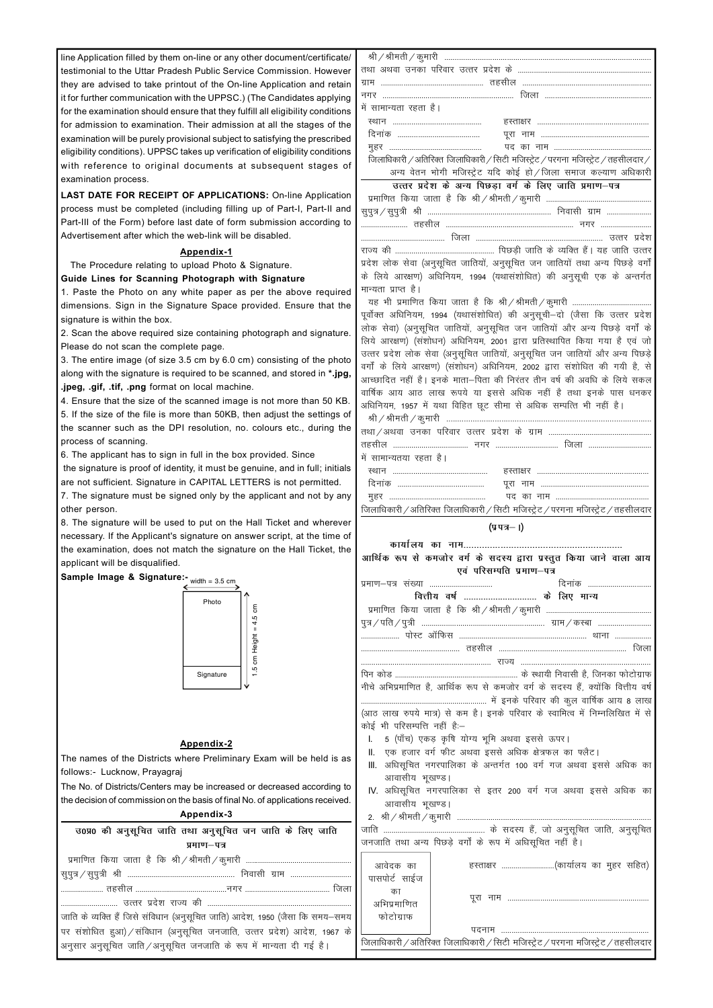line Application filled by them on-line or any other document/certificate/ testimonial to the Uttar Pradesh Public Service Commission. However they are advised to take printout of the On-line Application and retain it for further communication with the UPPSC.) (The Candidates applying for the examination should ensure that they fulfill all eligibility conditions for admission to examination. Their admission at all the stages of the examination will be purely provisional subject to satisfying the prescribed eligibility conditions). UPPSC takes up verification of eligibility conditions with reference to original documents at subsequent stages of examination process.

**LAST DATE FOR RECEIPT OF APPLICATIONS:** On-line Application process must be completed (including filling up of Part-I, Part-II and Part-III of the Form) before last date of form submission according to Advertisement after which the web-link will be disabled.

#### **Appendix-1**

The Procedure relating to upload Photo & Signature.

**Guide Lines for Scanning Photograph with Signature**

1. Paste the Photo on any white paper as per the above required dimensions. Sign in the Signature Space provided. Ensure that the signature is within the box.

2. Scan the above required size containing photograph and signature. Please do not scan the complete page.

3. The entire image (of size 3.5 cm by 6.0 cm) consisting of the photo along with the signature is required to be scanned, and stored in **\*.jpg, .jpeg, .gif, .tif, .png** format on local machine.

4. Ensure that the size of the scanned image is not more than 50 KB. 5. If the size of the file is more than 50KB, then adjust the settings of the scanner such as the DPI resolution, no. colours etc., during the process of scanning.

| में सामान्यता रहता है।                                                            |
|-----------------------------------------------------------------------------------|
|                                                                                   |
|                                                                                   |
|                                                                                   |
| जिलाधिकारी /अतिरिक्त जिलाधिकारी / सिटी मजिस्ट्रेट / परगना मजिस्ट्रेट / तहसीलदार / |
| अन्य वेतन भोगी मजिस्ट्रेट यदि कोई हो / जिला समाज कल्याण अधिकारी                   |
| उत्तर प्रदेश के अन्य पिछड़ा वर्ग के लिए जाति प्रमाण-पत्र                          |
|                                                                                   |
|                                                                                   |
|                                                                                   |
|                                                                                   |
|                                                                                   |
| प्रदेश लोक सेवा (अनुसूचित जातियों, अनुसूचित जन जातियों तथा अन्य पिछड़े वर्गों     |
| के लिये आरक्षण) अधिनियम, 1994 (यथासंशोधित) की अनुसूची एक के अन्तर्गत              |
| मान्यता प्राप्त है।                                                               |
|                                                                                   |
| पूर्वोक्त अधिनियम, 1994 (यथासंशोधित) की अनुसूची–दो (जैसा कि उत्तर प्रदेश          |
| लोक सेवा) (अनुसूचित जातियों, अनुसूचित जन जातियों और अन्य पिछड़े वर्गों के         |
| लिये आरक्षण) (संशोधन) अधिनियम, 2001 द्वारा प्रतिस्थापित किया गया है एवं जो        |
| उत्तर प्रदेश लोक सेवा (अनुसूचित जातियों, अनुसूचित जन जातियों और अन्य पिछड़े       |
| वर्गों के लिये आरक्षण) (संशोधन) अधिनियम, 2002 द्वारा संशोधित की गयी है, से        |
| आच्छादित नहीं है। इनके माता-पिता की निरंतर तीन वर्ष की अवधि के लिये सकल           |
| वार्षिक आय आठ लाख रूपये या इससे अधिक नहीं है तथा इनके पास धनकर                    |
| अधिनियम, 1957 में यथा विहित छूट सीमा से अधिक सम्पत्ति भी नहीं है।                 |
|                                                                                   |
|                                                                                   |
|                                                                                   |
| में सामान्यतया रहता है।                                                           |
|                                                                                   |
|                                                                                   |
| जिलाधिकारी /अतिरिक्त जिलाधिकारी / सिटी मजिस्ट्रेट / परगना मजिस्ट्रेट / तहसीलदार   |
|                                                                                   |
| $(y \overline{y} - 1)$                                                            |
|                                                                                   |
| आर्थिक रूप से कमजोर वर्ग के सदस्य द्वारा प्रस्तुत किया जाने वाला आय               |
| एवं परिसम्पति प्रमाण-पत्र                                                         |
| दिनांक<br>प्रमाण–पत्र संख्या                                                      |
| वित्तीय वर्ष  के लिए मान्य                                                        |
|                                                                                   |
|                                                                                   |
|                                                                                   |
|                                                                                   |
|                                                                                   |
|                                                                                   |
| नीचे अभिप्रमाणित है, आर्थिक रूप से कमजोर वर्ग के सदस्य हैं, क्योंकि वित्तीय वर्ष  |
|                                                                                   |
| (आठ लाख रुपये मात्र) से कम है। इनके परिवार के स्वामित्व में निम्नलिखित में से     |
| कोई भी परिसम्पत्ति नहीं हैं:-                                                     |

- I. 5 (पाँच) एकड़ कृषि योग्य भूमि अथवा इससे ऊपर।
- II. एक हजार वर्ग फीट अथवा इससे अधिक क्षेत्रफल का फ्लैट।

6. The applicant has to sign in full in the box provided. Since

 the signature is proof of identity, it must be genuine, and in full; initials are not sufficient. Signature in CAPITAL LETTERS is not permitted.

7. The signature must be signed only by the applicant and not by any other person.

8. The signature will be used to put on the Hall Ticket and wherever necessary. If the Applicant's signature on answer script, at the time of the examination, does not match the signature on the Hall Ticket, the applicant will be disqualified.

# **Appendix-2**

The names of the Districts where Preliminary Exam will be held is as



| The named of the Districts where I reminitary Exam will be nera to do          | III. अधिसूचित नगरपालिका के अन्तर्गत 100 वर्ग गज अथवा इससे अधिक का                |
|--------------------------------------------------------------------------------|----------------------------------------------------------------------------------|
| follows:- Lucknow, Prayagraj                                                   | आवासीय भृखण्ड।                                                                   |
| The No. of Districts/Centers may be increased or decreased according to        | IV. अधिसूचित नगरपालिका से इतर 200 वर्ग गज अथवा इससे अधिक का                      |
| the decision of commission on the basis of final No. of applications received. | आवासीय भूखण्ड।                                                                   |
| Appendix-3                                                                     |                                                                                  |
| उ0प्र0 की अनुसूचित जाति तथा अनुसूचित जन जाति के लिए जाति                       |                                                                                  |
| प्रमाण–पत्र                                                                    | जनजाति तथा अन्य पिछड़े वर्गों के रूप में अधिसूचित नहीं है।                       |
|                                                                                | हस्ताक्षर (कार्यालय का मुहर सहित)<br>आवेदक का<br>पासपोर्ट साईज                   |
| जाति के व्यक्ति हैं जिसे संविधान (अनुसूचित जाति) आदेश, 1950 (जैसा कि समय–समय   | का<br>अभिप्रमाणित<br>फोटोग्राफ                                                   |
| पर संशोधित हुआ) ⁄ संविधान (अनुसूचित जनजाति, उत्तर प्रदेश) आदेश, 1967 के        | पटनाम                                                                            |
| अनुसार अनुसूचित जाति / अनुसूचित जनजाति के रूप में मान्यता दी गई है।            | जिलाधिकारी / अतिरिक्त जिलाधिकारी / सिटी मजिस्ट्रेट / परगना मजिस्ट्रेट / तहसीलदार |

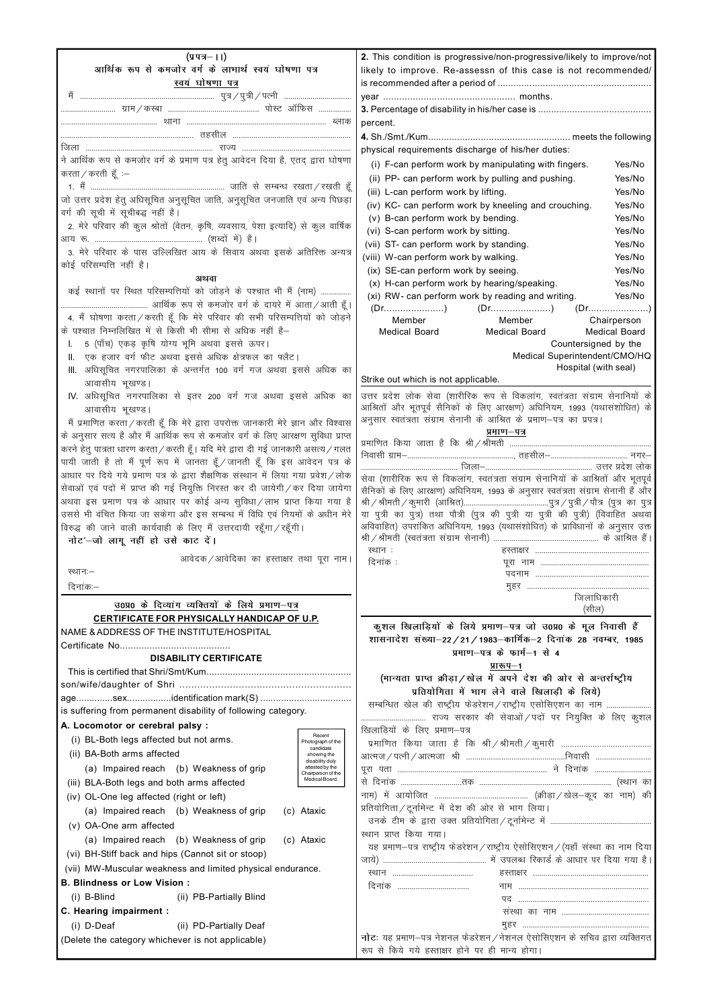| $(y \bar{y} - 1)$                                                                 |                                | 2. This condition is progressive/non-progressive/likely to improve/not                                                                                                                                                                                                                                                                                                                                                       |                      |
|-----------------------------------------------------------------------------------|--------------------------------|------------------------------------------------------------------------------------------------------------------------------------------------------------------------------------------------------------------------------------------------------------------------------------------------------------------------------------------------------------------------------------------------------------------------------|----------------------|
| आर्थिक रूप से कमजोर वर्ग के लाभार्थ स्वयं घोषणा पत्र                              |                                | likely to improve. Re-assessn of this case is not recommended/                                                                                                                                                                                                                                                                                                                                                               |                      |
| स्वयं घोषणा पत्र                                                                  |                                |                                                                                                                                                                                                                                                                                                                                                                                                                              |                      |
|                                                                                   |                                |                                                                                                                                                                                                                                                                                                                                                                                                                              |                      |
|                                                                                   |                                |                                                                                                                                                                                                                                                                                                                                                                                                                              |                      |
|                                                                                   |                                | percent.                                                                                                                                                                                                                                                                                                                                                                                                                     |                      |
|                                                                                   |                                |                                                                                                                                                                                                                                                                                                                                                                                                                              |                      |
|                                                                                   |                                | physical requirements discharge of his/her duties:                                                                                                                                                                                                                                                                                                                                                                           |                      |
| ने आर्थिक रूप से कमजोर वर्ग के प्रमाण पत्र हेतु आवेदन दिया है, एतद् द्वारा घोषणा  |                                | (i) F-can perform work by manipulating with fingers.                                                                                                                                                                                                                                                                                                                                                                         | Yes/No               |
| करता / करती $\breve{\xi}$ :–                                                      |                                | (ii) PP- can perform work by pulling and pushing.                                                                                                                                                                                                                                                                                                                                                                            | Yes/No               |
|                                                                                   |                                | (iii) L-can perform work by lifting.                                                                                                                                                                                                                                                                                                                                                                                         | Yes/No               |
| जो उत्तर प्रदेश हेतु अधिसूचित अनुसूचित जाति, अनुसूचित जनजाति एवं अन्य पिछड़ा      |                                | (iv) KC- can perform work by kneeling and crouching.                                                                                                                                                                                                                                                                                                                                                                         | Yes/No               |
| वर्ग की सूची में सूचीबद्ध नहीं है।                                                |                                | (v) B-can perform work by bending.                                                                                                                                                                                                                                                                                                                                                                                           | Yes/No               |
| 2. मेरे परिवार की कुल श्रोतों (वेतन, कृषि, व्यवसाय, पेशा इत्यादि) से कुल वार्षिक  |                                | (vi) S-can perform work by sitting.                                                                                                                                                                                                                                                                                                                                                                                          | Yes/No               |
|                                                                                   |                                | (vii) ST- can perform work by standing.                                                                                                                                                                                                                                                                                                                                                                                      | Yes/No               |
| 3. मेरे परिवार के पास उल्लिखित आय के सिवाय अथवा इसके अतिरिक्त अन्यत्र             |                                | (viii) W-can perform work by walking.                                                                                                                                                                                                                                                                                                                                                                                        | Yes/No               |
| कोई परिसम्पत्ति नहीं है।                                                          |                                |                                                                                                                                                                                                                                                                                                                                                                                                                              | Yes/No               |
| अथवा                                                                              |                                | (ix) SE-can perform work by seeing.                                                                                                                                                                                                                                                                                                                                                                                          |                      |
| कई स्थानों पर स्थित परिसम्पत्तियों को जोड़ने के पश्चात भी मैं (नाम)               |                                | (x) H-can perform work by hearing/speaking.                                                                                                                                                                                                                                                                                                                                                                                  | Yes/No               |
|                                                                                   |                                | (xi) RW- can perform work by reading and writing.                                                                                                                                                                                                                                                                                                                                                                            | Yes/No               |
| 4. मैं घोषणा करता / करती हूँ कि मेरे परिवार की सभी परिसम्पत्तियों को जोड़ने       |                                | $(Dr_{1}, \ldots, Dr_{k}, \ldots, Dr_{k}, \ldots, Dr_{k}, \ldots, Dr_{k}, \ldots, Dr_{k}, \ldots, Dr_{k}, \ldots, Dr_{k}, \ldots, Dr_{k}, \ldots, Dr_{k}, \ldots, Dr_{k}, \ldots, Dr_{k}, \ldots, Dr_{k}, \ldots, Dr_{k}, \ldots, Dr_{k}, \ldots, Dr_{k}, \ldots, Dr_{k}, \ldots, Dr_{k}, \ldots, Dr_{k}, \ldots, Dr_{k}, \ldots, Dr_{k}, \ldots, Dr_{k}, \ldots, Dr_{k}, \ldots, Dr_{k}, \ldots, Dr_{k$<br>Member<br>Member | Chairperson          |
| के पश्चात निम्नलिखित में से किसी भी सीमा से अधिक नहीं है–                         |                                | Medical Board<br><b>Medical Board</b>                                                                                                                                                                                                                                                                                                                                                                                        | <b>Medical Board</b> |
| 5 (पाँच) एकड़ कृषि योग्य भूमि अथवा इससे ऊपर।<br>Ι.                                |                                | Countersigned by the                                                                                                                                                                                                                                                                                                                                                                                                         |                      |
| एक हजार वर्ग फीट अथवा इससे अधिक क्षेत्रफल का फ्लैट।                               |                                | Medical Superintendent/CMO/HQ                                                                                                                                                                                                                                                                                                                                                                                                |                      |
| III. अधिसूचित नगरपालिका के अन्तर्गत 100 वर्ग गज अथवा इससे अधिक का                 |                                | Hospital (with seal)                                                                                                                                                                                                                                                                                                                                                                                                         |                      |
| आवासीय भुखण्ड।                                                                    |                                | Strike out which is not applicable.                                                                                                                                                                                                                                                                                                                                                                                          |                      |
| IV. अधिसूचित नगरपालिका से इतर 200 वर्ग गज अथवा इससे अधिक का                       |                                | उत्तर प्रदेश लोक सेवा (शारीरिक रूप से विकलांग, स्वतंत्रता संग्राम सेनानियों के                                                                                                                                                                                                                                                                                                                                               |                      |
| आवासीय भूखण्ड।                                                                    |                                | आश्रितों और भूतपूर्व सैनिकों के लिए आरक्षण) अधिनियम, 1993 (यथासंशोधित) के                                                                                                                                                                                                                                                                                                                                                    |                      |
|                                                                                   |                                | अनुसार स्वतंत्रता संग्राम सेनानी के आश्रित के प्रमाण–पत्र का प्रपत्र।                                                                                                                                                                                                                                                                                                                                                        |                      |
| मैं प्रमाणित करता/करती हूँ कि मेरे द्वारा उपरोक्त जानकारी मेरे ज्ञान और विश्वास   |                                | प्रमाण–पत्र                                                                                                                                                                                                                                                                                                                                                                                                                  |                      |
| के अनुसार सत्य है और मैं आर्थिक रूप से कमजोर वर्ग के लिए आरक्षण सुविधा प्राप्त    |                                |                                                                                                                                                                                                                                                                                                                                                                                                                              |                      |
| करने हेतु पात्रता धारण करता / करती हूँ। यदि मेरे द्वारा दी गई जानकारी असत्य / गलत |                                |                                                                                                                                                                                                                                                                                                                                                                                                                              |                      |
| पायी जाती है तो मैं पूर्ण रूप में जानता हूँ/जानती हूँ कि इस आवेदन पत्र के         |                                |                                                                                                                                                                                                                                                                                                                                                                                                                              |                      |
| आधार पर दिये गये प्रमाण पत्र के द्वारा शैक्षणिक संस्थान में लिया गया प्रवेश / लोक |                                | सेवा (शारीरिक रूप से विकलांग, स्वतंत्रता संग्राम सेनानियों के आश्रितों और भूतपूर्व                                                                                                                                                                                                                                                                                                                                           |                      |
| सेवाओं एवं पदों में प्राप्त की गई नियुक्ति निरस्त कर दी जायेगी/कर दिया जायेगा     |                                | सैनिकों के लिए आरक्षण) अधिनियम, 1993 के अनुसार स्वतंत्रता संग्राम सेनानी हैं और                                                                                                                                                                                                                                                                                                                                              |                      |
| अथवा इस प्रमाण पत्र के आधार पर कोई अन्य सुविधा/लाभ प्राप्त किया गया है            |                                |                                                                                                                                                                                                                                                                                                                                                                                                                              |                      |
| उससे भी वंचित किया जा सकेगा और इस सम्बन्ध में विधि एवं नियमों के अधीन मेरे        |                                | या पुत्री का पुत्र) तथा पौत्री (पुत्र की पुत्री या पुत्री की पुत्री) (विवाहित अथवा                                                                                                                                                                                                                                                                                                                                           |                      |
| विरुद्ध की जाने वाली कार्यवाही के लिए मैं उत्तरदायी रहूँगा / रहूँगी।              |                                | अविवाहित) उपरांकित अधिनियम, 1993 (यथासंशोधित) के प्राविधानों के अनुसार उक्त                                                                                                                                                                                                                                                                                                                                                  |                      |
| नोट'-जो लागू नहीं हो उसे काट दें।                                                 |                                |                                                                                                                                                                                                                                                                                                                                                                                                                              |                      |
| आवेदक / आवेदिका का हस्ताक्षर तथा पूरा नाम।                                        |                                | स्थान:<br>दिनांक :                                                                                                                                                                                                                                                                                                                                                                                                           |                      |
| स्थानः-                                                                           |                                |                                                                                                                                                                                                                                                                                                                                                                                                                              |                      |
| दिनांक:—                                                                          |                                |                                                                                                                                                                                                                                                                                                                                                                                                                              |                      |
|                                                                                   |                                | जिलाधिकारी                                                                                                                                                                                                                                                                                                                                                                                                                   |                      |
| उ0प्र0 के दिव्यांग व्यक्तियों के लिये प्रमाण–पत्र                                 |                                | (सील)                                                                                                                                                                                                                                                                                                                                                                                                                        |                      |
| CERTIFICATE FOR PHYSICALLY HANDICAP OF U.P.                                       |                                | कुशल खिलाड़ियों के लिये प्रमाण–पत्र जो उ0प्र0 के मूल निवासी हैं                                                                                                                                                                                                                                                                                                                                                              |                      |
| NAME & ADDRESS OF THE INSTITUTE/HOSPITAL                                          |                                | शासनादेश संख्या-22/21/1983-कार्मिक-2 दिनांक 28 नवम्बर, 1985                                                                                                                                                                                                                                                                                                                                                                  |                      |
|                                                                                   |                                | प्रमाण-पत्र के फार्म-1 से 4                                                                                                                                                                                                                                                                                                                                                                                                  |                      |
| <b>DISABILITY CERTIFICATE</b>                                                     |                                |                                                                                                                                                                                                                                                                                                                                                                                                                              |                      |
|                                                                                   |                                | प्रारूप–1<br>(मान्यता प्राप्त क्रीड़ा/खेल में अपने देश की ओर से अन्तर्राष्ट्रीय                                                                                                                                                                                                                                                                                                                                              |                      |
|                                                                                   |                                |                                                                                                                                                                                                                                                                                                                                                                                                                              |                      |
|                                                                                   |                                | प्रतियोगिता में भाग लेने वाले खिलाड़ी के लिये)                                                                                                                                                                                                                                                                                                                                                                               |                      |
| is suffering from permanent disability of following category.                     |                                | सम्बन्धित खेल की राष्ट्रीय फेडरेशन/राष्ट्रीय एसोसिएशन का नाम                                                                                                                                                                                                                                                                                                                                                                 |                      |
| A. Locomotor or cerebral palsy :                                                  |                                |                                                                                                                                                                                                                                                                                                                                                                                                                              |                      |
| (i) BL-Both legs affected but not arms.                                           | Recent                         | खिलाड़ियों के लिए प्रमाण-पत्र                                                                                                                                                                                                                                                                                                                                                                                                |                      |
|                                                                                   | Photograph of the<br>candidate |                                                                                                                                                                                                                                                                                                                                                                                                                              |                      |
| (ii) BA-Both arms affected                                                        | showing the                    |                                                                                                                                                                                                                                                                                                                                                                                                                              |                      |

(a) Impaired reach (b) Weakness of grip (iii) BLA-Both legs and both arms affected (iv) OL-One leg affected (right or left) (a) Impaired reach (b) Weakness of grip (c) Ataxic (v) OA-One arm affected (a) Impaired reach (b) Weakness of grip (c) Ataxic (vi) BH-Stiff back and hips (Cannot sit or stoop) (vii) MW-Muscular weakness and limited physical endurance. **B. Blindness or Low Vision :** (i) B-Blind (ii) PB-Partially Blind **C. Hearing impairment :** (i) D-Deaf (ii) PD-Partially Deaf (Delete the category whichever is not applicable) i wjk irk ------------------------------------------------------------------------- u s fnuk ad --------------------------- l s fnuk ad ------------------------------rd ----------------------------------------------------------------- ¼LFkku dk uke½ e s a vk;k sftr --------------------------------------------- ¼ØhM +k@[k sy&d wn dk uke½ dh प्रतियोगिता/टूर्नामेन्ट में देश की ओर से भाग लिया। mud s Vhe d s }kjk mDr çfr;k sfxrk@V wuk Ze sUV e s a -------------------------------------------------- स्थान प्राप्त किया गया। यह प्रमाण-पत्र राष्ट्रीय फेडरेशन/राष्ट्रीय ऐसोसिएशन/ (यहाँ संस्था का नाम दिया tk; s½ --------------------------------------------------- e s a miyC/k fjdkM Z d s vkèkkj ij fn;k x;k g SA LFkku --------------------------------------- gLrk{kj ------------------------------------------------------- fnuk ad ----------------------------------- uke -------------------------------------------------------------- in -------------------------------------------------------------- l aLFkk dk uke ------------------------------------------ eqgj ------------------------------------------------------------- **नोट**: यह प्रमाण–पत्र नेशनल फेडरेशन / नेशनल ऐसोसिएशन के सचिव द्वारा व्यक्तिगत रूप से किये गये हस्ताक्षर होने पर ही मान्य होगा। disability duly attested by the Chairperson of the Medical Board.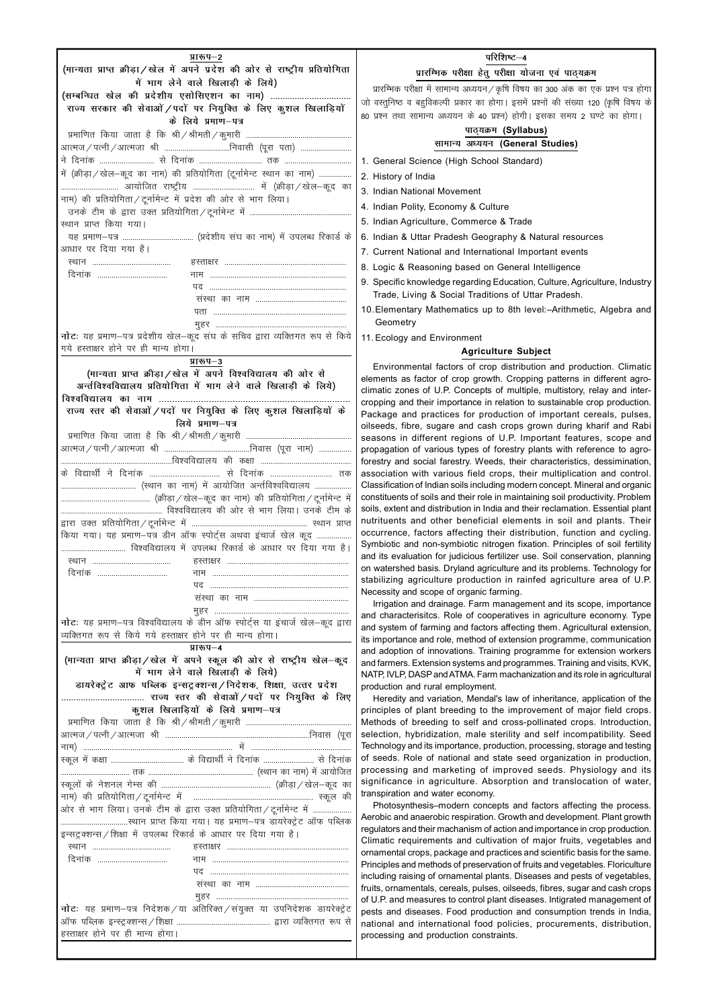| प्रारूप–2                                                                       |
|---------------------------------------------------------------------------------|
| (मान्यता प्राप्त क्रीड़ा/खेल में अपने प्रदेश की ओर से राष्ट्रीय प्रतियोगिता     |
| में भाग लेने वाले खिलाडी के लिये)                                               |
| (सम्बन्धित खेल की प्रदेशीय एसोसिएशन का नाम)                                     |
| राज्य सरकार की सेवाओं / पदों पर नियुक्ति के लिए कुशल खिलाड़ियों                 |
| के लिये प्रमाण-पत्र                                                             |
|                                                                                 |
| आत्मज ⁄ पत्नी ⁄ आत्मजा  श्री  निवासी  (पूरा  पता)                               |
|                                                                                 |
| में (क्रीड़ा / खेल-कूद का नाम) की प्रतियोगिता (टूर्नामेन्ट स्थान का नाम)        |
|                                                                                 |
| नाम) की प्रतियोगिता/टूर्नामेन्ट में प्रदेश की ओर से भाग लिया।                   |
|                                                                                 |
| स्थान प्राप्त किया गया।                                                         |
|                                                                                 |
| आधार पर दिया गया है।                                                            |
|                                                                                 |
| दिनांक                                                                          |
| पद                                                                              |
|                                                                                 |
|                                                                                 |
|                                                                                 |
| नोटः यह प्रमाण–पत्र प्रदेशीय खेल–कूद संघ के सचिव द्वारा व्यक्तिगत रूप से किये   |
| गये हस्ताक्षर होने पर ही मान्य होगा।                                            |
| प्रारूप–3                                                                       |
| (मान्यता प्राप्त क्रीड़ा / खेल में अपने विश्वविद्यालय की ओर से                  |
| अर्न्तविश्वविद्यालय प्रतियोगिता में भाग लेने वाले खिलाड़ी के लिये)              |
| विश्वविद्यालय का नाम                                                            |
|                                                                                 |
| राज्य स्तर की सेवाओं / पदों पर नियुक्ति के लिए कुशल खिलाड़ियों के               |
| लिये प्रमाण-पत्र                                                                |
|                                                                                 |
|                                                                                 |
|                                                                                 |
| के विद्यार्थी ने दिनांक  से दिनांक  तक                                          |
|                                                                                 |
|                                                                                 |
|                                                                                 |
|                                                                                 |
| किया गया। यह प्रमाण-पत्र डीन ऑफ स्पोर्ट्स अथवा इंचार्ज खेल कूद                  |
| विश्वविद्यालय में उपलब्ध रिकार्ड के आधार पर दिया गया है।                        |
|                                                                                 |
| दिनांक                                                                          |
|                                                                                 |
|                                                                                 |
|                                                                                 |
| नोटः यह प्रमाण–पत्र विश्वविद्यालय के डीन ऑफ स्पोर्ट्स या इंचार्ज खेल–कूद द्वारा |
| व्यक्तिगत रूप से किये गये हस्ताक्षर होने पर ही मान्य होगा।                      |
| प्रारूप-4                                                                       |
| (मान्यता प्राप्त क्रीड़ा/खेल में अपने स्कूल की ओर से राष्ट्रीय खेल-कूद          |
| में भाग लेने वाले खिलाड़ी के लिये)                                              |
| डायरेक्ट्रेट आफ पब्लिक इन्सट्रक्शन्स/निदेशक, शिक्षा, उत्तर प्रदेश               |
|                                                                                 |
| कुशल खिलाड़ियों के लिये प्रमाण-पत्र                                             |
|                                                                                 |

|                                                                                                                 | परिशिष्ट-4                                                                                                                                                                                                                                                                                                                                                                                                                                                                                                                                                                                                                                                                                                                                                                                                                                                                                                                                                                                                                                                                                                                                                                                                                                                                                                                                                                                                                                                                                                                            |
|-----------------------------------------------------------------------------------------------------------------|---------------------------------------------------------------------------------------------------------------------------------------------------------------------------------------------------------------------------------------------------------------------------------------------------------------------------------------------------------------------------------------------------------------------------------------------------------------------------------------------------------------------------------------------------------------------------------------------------------------------------------------------------------------------------------------------------------------------------------------------------------------------------------------------------------------------------------------------------------------------------------------------------------------------------------------------------------------------------------------------------------------------------------------------------------------------------------------------------------------------------------------------------------------------------------------------------------------------------------------------------------------------------------------------------------------------------------------------------------------------------------------------------------------------------------------------------------------------------------------------------------------------------------------|
| $\overline{\mathsf{I}}$                                                                                         | प्रारम्भिक परीक्षा हेतु परीक्षा योजना एवं पाठ्यक्रम                                                                                                                                                                                                                                                                                                                                                                                                                                                                                                                                                                                                                                                                                                                                                                                                                                                                                                                                                                                                                                                                                                                                                                                                                                                                                                                                                                                                                                                                                   |
|                                                                                                                 | प्रारम्भिक परीक्षा में सामान्य अध्ययन/कृषि विषय का 300 अंक का एक प्रश्न पत्र होगा                                                                                                                                                                                                                                                                                                                                                                                                                                                                                                                                                                                                                                                                                                                                                                                                                                                                                                                                                                                                                                                                                                                                                                                                                                                                                                                                                                                                                                                     |
|                                                                                                                 | जो वस्तुनिष्ठ व बहुविकल्पी प्रकार का होगा। इसमें प्रश्नों की संख्या 120 (कृषि विषय के                                                                                                                                                                                                                                                                                                                                                                                                                                                                                                                                                                                                                                                                                                                                                                                                                                                                                                                                                                                                                                                                                                                                                                                                                                                                                                                                                                                                                                                 |
|                                                                                                                 | 80 प्रश्न तथा सामान्य अध्ययन के 40 प्रश्न) होगी। इसका समय 2 घण्टे का होगा।                                                                                                                                                                                                                                                                                                                                                                                                                                                                                                                                                                                                                                                                                                                                                                                                                                                                                                                                                                                                                                                                                                                                                                                                                                                                                                                                                                                                                                                            |
|                                                                                                                 | पाठ्यक्रम (Syllabus)                                                                                                                                                                                                                                                                                                                                                                                                                                                                                                                                                                                                                                                                                                                                                                                                                                                                                                                                                                                                                                                                                                                                                                                                                                                                                                                                                                                                                                                                                                                  |
| <br>                                                                                                            | सामान्य अध्ययन (General Studies)                                                                                                                                                                                                                                                                                                                                                                                                                                                                                                                                                                                                                                                                                                                                                                                                                                                                                                                                                                                                                                                                                                                                                                                                                                                                                                                                                                                                                                                                                                      |
| $\ddotsc$                                                                                                       | 1. General Science (High School Standard)                                                                                                                                                                                                                                                                                                                                                                                                                                                                                                                                                                                                                                                                                                                                                                                                                                                                                                                                                                                                                                                                                                                                                                                                                                                                                                                                                                                                                                                                                             |
| $\ldots$                                                                                                        | 2. History of India                                                                                                                                                                                                                                                                                                                                                                                                                                                                                                                                                                                                                                                                                                                                                                                                                                                                                                                                                                                                                                                                                                                                                                                                                                                                                                                                                                                                                                                                                                                   |
| ात                                                                                                              | 3. Indian National Movement                                                                                                                                                                                                                                                                                                                                                                                                                                                                                                                                                                                                                                                                                                                                                                                                                                                                                                                                                                                                                                                                                                                                                                                                                                                                                                                                                                                                                                                                                                           |
|                                                                                                                 | 4. Indian Polity, Economy & Culture                                                                                                                                                                                                                                                                                                                                                                                                                                                                                                                                                                                                                                                                                                                                                                                                                                                                                                                                                                                                                                                                                                                                                                                                                                                                                                                                                                                                                                                                                                   |
|                                                                                                                 | 5. Indian Agriculture, Commerce & Trade                                                                                                                                                                                                                                                                                                                                                                                                                                                                                                                                                                                                                                                                                                                                                                                                                                                                                                                                                                                                                                                                                                                                                                                                                                                                                                                                                                                                                                                                                               |
| के                                                                                                              | 6. Indian & Uttar Pradesh Geography & Natural resources                                                                                                                                                                                                                                                                                                                                                                                                                                                                                                                                                                                                                                                                                                                                                                                                                                                                                                                                                                                                                                                                                                                                                                                                                                                                                                                                                                                                                                                                               |
|                                                                                                                 |                                                                                                                                                                                                                                                                                                                                                                                                                                                                                                                                                                                                                                                                                                                                                                                                                                                                                                                                                                                                                                                                                                                                                                                                                                                                                                                                                                                                                                                                                                                                       |
|                                                                                                                 | 7. Current National and International Important events                                                                                                                                                                                                                                                                                                                                                                                                                                                                                                                                                                                                                                                                                                                                                                                                                                                                                                                                                                                                                                                                                                                                                                                                                                                                                                                                                                                                                                                                                |
|                                                                                                                 | 8. Logic & Reasoning based on General Intelligence                                                                                                                                                                                                                                                                                                                                                                                                                                                                                                                                                                                                                                                                                                                                                                                                                                                                                                                                                                                                                                                                                                                                                                                                                                                                                                                                                                                                                                                                                    |
|                                                                                                                 | 9. Specific knowledge regarding Education, Culture, Agriculture, Industry<br>Trade, Living & Social Traditions of Uttar Pradesh.                                                                                                                                                                                                                                                                                                                                                                                                                                                                                                                                                                                                                                                                                                                                                                                                                                                                                                                                                                                                                                                                                                                                                                                                                                                                                                                                                                                                      |
| $\ddot{\phantom{0}}$                                                                                            | 10. Elementary Mathematics up to 8th level: - Arithmetic, Algebra and                                                                                                                                                                                                                                                                                                                                                                                                                                                                                                                                                                                                                                                                                                                                                                                                                                                                                                                                                                                                                                                                                                                                                                                                                                                                                                                                                                                                                                                                 |
|                                                                                                                 | Geometry                                                                                                                                                                                                                                                                                                                                                                                                                                                                                                                                                                                                                                                                                                                                                                                                                                                                                                                                                                                                                                                                                                                                                                                                                                                                                                                                                                                                                                                                                                                              |
| ये                                                                                                              | 11. Ecology and Environment                                                                                                                                                                                                                                                                                                                                                                                                                                                                                                                                                                                                                                                                                                                                                                                                                                                                                                                                                                                                                                                                                                                                                                                                                                                                                                                                                                                                                                                                                                           |
|                                                                                                                 | <b>Agriculture Subject</b>                                                                                                                                                                                                                                                                                                                                                                                                                                                                                                                                                                                                                                                                                                                                                                                                                                                                                                                                                                                                                                                                                                                                                                                                                                                                                                                                                                                                                                                                                                            |
| <br><br><br>क<br><br>में<br>के<br>त<br><br>$\overline{1}$<br>.,<br>$\ddot{\phantom{0}}$<br>$\ddot{\phantom{0}}$ | Environmental factors of crop distribution and production. Climatic<br>elements as factor of crop growth. Cropping patterns in different agro-<br>climatic zones of U.P. Concepts of multiple, multistory, relay and inter-<br>cropping and their importance in relation to sustainable crop production.<br>Package and practices for production of important cereals, pulses,<br>oilseeds, fibre, sugare and cash crops grown during kharif and Rabi<br>seasons in different regions of U.P. Important features, scope and<br>propagation of various types of forestry plants with reference to agro-<br>forestry and social farestry. Weeds, their characteristics, dessimination,<br>association with various field crops, their multiplication and control.<br>Classification of Indian soils including modern concept. Mineral and organic<br>constituents of soils and their role in maintaining soil productivity. Problem<br>soils, extent and distribution in India and their reclamation. Essential plant<br>nutrituents and other beneficial elements in soil and plants. Their<br>occurrence, factors affecting their distribution, function and cycling.<br>Symbiotic and non-symbiotic nitrogen fixation. Principles of soil fertility<br>and its evaluation for judicious fertilizer use. Soil conservation, planning<br>on watershed basis. Dryland agriculture and its problems. Technology for<br>stabilizing agriculture production in rainfed agriculture area of U.P.<br>Necessity and scope of organic farming. |
| ٠.<br>٠.<br>रा<br>Į                                                                                             | Irrigation and drainage. Farm management and its scope, importance<br>and characterisitcs. Role of cooperatives in agriculture economy. Type<br>and system of farming and factors affecting them. Agricultural extension,<br>its importance and role, method of extension programme, communication<br>and adoption of innovations. Training programme for extension workers<br>and farmers. Extension systems and programmes. Training and visits, KVK,<br>NATP, IVLP, DASP and ATMA. Farm machanization and its role in agricultural<br>production and rural employment.                                                                                                                                                                                                                                                                                                                                                                                                                                                                                                                                                                                                                                                                                                                                                                                                                                                                                                                                                             |

|                                                                   | ओर से भाग लिया। उनके टीम के द्वारा उक्त प्रतियोगिता / टूर्नामेन्ट में   |
|-------------------------------------------------------------------|-------------------------------------------------------------------------|
|                                                                   |                                                                         |
| इन्सट्रक्शन्स / शिक्षा में उपलब्ध रिकार्ड के आधार पर दिया गया है। |                                                                         |
|                                                                   |                                                                         |
| दिनांक                                                            |                                                                         |
|                                                                   |                                                                         |
|                                                                   |                                                                         |
|                                                                   |                                                                         |
|                                                                   | नोटः यह प्रमाण-पत्र निदेशक/या अतिरिक्त/संयुक्त या उपनिदेशक डायरेक्ट्रेट |
|                                                                   |                                                                         |
| हस्ताक्षर होने पर ही मान्य होगा।                                  |                                                                         |
|                                                                   |                                                                         |

Heredity and variation, Mendal's law of inheritance, application of the principles of plant breeding to the improvement of major field crops. Methods of breeding to self and cross-pollinated crops. Introduction, selection, hybridization, male sterility and self incompatibility. Seed Technology and its importance, production, processing, storage and testing  $\hat{p}$  and  $\hat{p}$  and state seed organization in production, processing and marketing of improved seeds. Physiology and its significance in agriculture. Absorption and translocation of water, transpiration and water economy. Photosynthesis–modern concepts and factors affecting the process. Aerobic and anaerobic respiration. Growth and development. Plant growth regulators and their machanism of action and importance in crop production. Climatic requirements and cultivation of major fruits, vegetables and ornamental crops, package and practices and scientific basis for the same. Principles and methods of preservation of fruits and vegetables. Floriculture including raising of ornamental plants. Diseases and pests of vegetables, fruits, ornamentals, cereals, pulses, oilseeds, fibres, sugar and cash crops of U.P. and measures to control plant diseases. Intigrated management of pests and diseases. Food production and consumption trends in India, national and international food policies, procurements, distribution, processing and production constraints.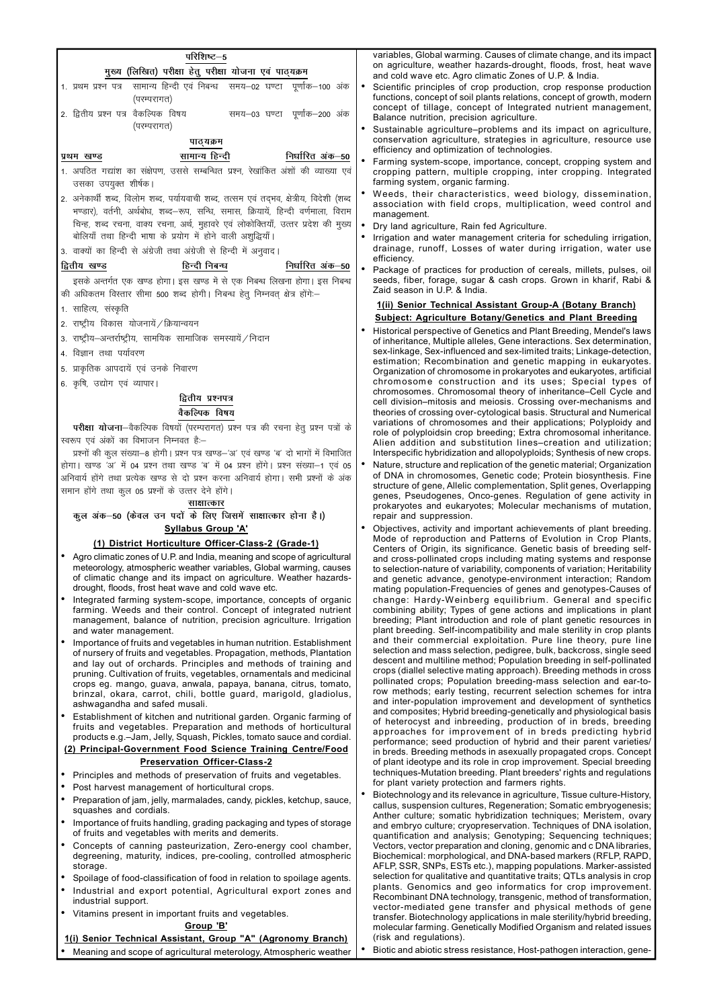| परिशिष्ट—5                                                                                                                                                                                                                                                                                                                                                    | variables, Global warming. Causes of climate change, and its impact                                                                                                                                                                                                                                                                                        |
|---------------------------------------------------------------------------------------------------------------------------------------------------------------------------------------------------------------------------------------------------------------------------------------------------------------------------------------------------------------|------------------------------------------------------------------------------------------------------------------------------------------------------------------------------------------------------------------------------------------------------------------------------------------------------------------------------------------------------------|
| मुख्य (लिखित) परीक्षा हेतु परीक्षा योजना एवं पाठ्यक्रम                                                                                                                                                                                                                                                                                                        | on agriculture, weather hazards-drought, floods, frost, heat wave<br>and cold wave etc. Agro climatic Zones of U.P. & India.                                                                                                                                                                                                                               |
| 1. प्रथम प्रश्न पत्र सामान्य हिन्दी एवं निबन्ध) समय–02 घण्टा पूर्णांक–100 अंक<br>(परम्परागत)                                                                                                                                                                                                                                                                  | Scientific principles of crop production, crop response production<br>functions, concept of soil plants relations, concept of growth, modern<br>concept of tillage, concept of Integrated nutrient management,                                                                                                                                             |
| 2. द्वितीय प्रश्न पत्र वैकल्पिक विषय<br>समय–03 घण्टा पूर्णांक–200 अंक<br>(परम्परागत)                                                                                                                                                                                                                                                                          | Balance nutrition, precision agriculture.                                                                                                                                                                                                                                                                                                                  |
| पाठ्यक्रम                                                                                                                                                                                                                                                                                                                                                     | Sustainable agriculture–problems and its impact on agriculture,<br>conservation agriculture, strategies in agriculture, resource use                                                                                                                                                                                                                       |
| निर्धारित अंक–50<br>सामान्य हिन्दी<br>प्रथम खण्ड                                                                                                                                                                                                                                                                                                              | efficiency and optimization of technologies.                                                                                                                                                                                                                                                                                                               |
| 1. अपठित गद्यांश का संक्षेपण, उससे सम्बन्धित प्रश्न, रेखांकित अंशों की व्याख्या एवं<br>उसका उपयुक्त शीर्षक।                                                                                                                                                                                                                                                   | $\bullet$<br>Farming system-scope, importance, concept, cropping system and<br>cropping pattern, multiple cropping, inter cropping. Integrated<br>farming system, organic farming.                                                                                                                                                                         |
| 2. अनेकार्थी शब्द, विलोम शब्द, पर्यायवाची शब्द, तत्सम एवं तद्भव, क्षेत्रीय, विदेशी (शब्द<br>भण्डार), वर्तनी, अर्थबोध, शब्द–रूप, सन्धि, समास, क्रियायें, हिन्दी वर्णमाला, विराम                                                                                                                                                                                | Weeds, their characteristics, weed biology, dissemination,<br>association with field crops, multiplication, weed control and<br>management.                                                                                                                                                                                                                |
| चिन्ह, शब्द रचना, वाक्य रचना, अर्थ, मुहावरे एवं लोकोक्तियाँ, उत्तर प्रदेश की मुख्य                                                                                                                                                                                                                                                                            | Dry land agriculture, Rain fed Agriculture.                                                                                                                                                                                                                                                                                                                |
| बोलियाँ तथा हिन्दी भाषा के प्रयोग में होने वाली अशुद्धियाँ।                                                                                                                                                                                                                                                                                                   | Irrigation and water management criteria for scheduling irrigation,<br>٠                                                                                                                                                                                                                                                                                   |
| 3. वाक्यों का हिन्दी से अंग्रेजी तथा अंग्रेजी से हिन्दी में अनुवाद।                                                                                                                                                                                                                                                                                           | drainage, runoff, Losses of water during irrigation, water use<br>efficiency.                                                                                                                                                                                                                                                                              |
| द्वितीय खण्ड<br>हिन्दी निबन्ध<br>निर्धारित अंक–50                                                                                                                                                                                                                                                                                                             | $\bullet$<br>Package of practices for production of cereals, millets, pulses, oil                                                                                                                                                                                                                                                                          |
| इसके अन्तर्गत एक खण्ड होगा। इस खण्ड में से एक निबन्ध लिखना होगा। इस निबन्ध<br>की अधिकतम विस्तार सीमा 500 शब्द होगी। निबन्ध हेत् निम्नवत् क्षेत्र होंगे:-                                                                                                                                                                                                      | seeds, fiber, forage, sugar & cash crops. Grown in kharif, Rabi &<br>Zaid season in U.P. & India.                                                                                                                                                                                                                                                          |
| 1. साहित्य, संस्कृति                                                                                                                                                                                                                                                                                                                                          | 1(ii) Senior Technical Assistant Group-A (Botany Branch)                                                                                                                                                                                                                                                                                                   |
| 2. राष्ट्रीय विकास योजनायें / क्रियान्वयन                                                                                                                                                                                                                                                                                                                     | <b>Subject: Agriculture Botany/Genetics and Plant Breeding</b>                                                                                                                                                                                                                                                                                             |
| 3. राष्ट्रीय–अन्तर्राष्ट्रीय, सामयिक सामाजिक समस्यायें /निदान                                                                                                                                                                                                                                                                                                 | Historical perspective of Genetics and Plant Breeding, Mendel's laws<br>of inheritance, Multiple alleles, Gene interactions. Sex determination,                                                                                                                                                                                                            |
| 4. विज्ञान तथा पर्यावरण                                                                                                                                                                                                                                                                                                                                       | sex-linkage, Sex-influenced and sex-limited traits; Linkage-detection,                                                                                                                                                                                                                                                                                     |
| 5. प्राकृतिक आपदायें एवं उनके निवारण                                                                                                                                                                                                                                                                                                                          | estimation; Recombination and genetic mapping in eukaryotes.<br>Organization of chromosome in prokaryotes and eukaryotes, artificial                                                                                                                                                                                                                       |
| 6. कृषि, उद्योग एवं व्यापार।                                                                                                                                                                                                                                                                                                                                  | chromosome construction and its uses; Special types of                                                                                                                                                                                                                                                                                                     |
| द्वितीय प्रश्नपत्र                                                                                                                                                                                                                                                                                                                                            | chromosomes. Chromosomal theory of inheritance–Cell Cycle and<br>cell division-mitosis and meiosis. Crossing over-mechanisms and                                                                                                                                                                                                                           |
| वैकल्पिक विषय                                                                                                                                                                                                                                                                                                                                                 | theories of crossing over-cytological basis. Structural and Numerical                                                                                                                                                                                                                                                                                      |
| परीक्षा योजना-वैकल्पिक विषयों (परम्परागत) प्रश्न पत्र की रचना हेतु प्रश्न पत्रों के                                                                                                                                                                                                                                                                           | variations of chromosomes and their applications; Polyploidy and<br>role of polyploidsin crop breeding; Extra chromosomal inheritance.                                                                                                                                                                                                                     |
| स्वरूप एवं अंकों का विभाजन निम्नवत है:-                                                                                                                                                                                                                                                                                                                       | Alien addition and substitution lines-creation and utilization;                                                                                                                                                                                                                                                                                            |
| प्रश्नों की कृल संख्या-8 होगी। प्रश्न पत्र खण्ड-'अ' एवं खण्ड 'ब' दो भागों में विभाजित<br>होगा। खण्ड 'अ' में 04 प्रश्न तथा खण्ड 'ब' में 04 प्रश्न होंगे। प्रश्न संख्या-1 एवं 05                                                                                                                                                                                | Interspecific hybridization and allopolyploids; Synthesis of new crops.<br>Nature, structure and replication of the genetic material; Organization                                                                                                                                                                                                         |
| अनिवार्य होंगे तथा प्रत्येक खण्ड से दो प्रश्न करना अनिवार्य होगा। सभी प्रश्नों के अंक                                                                                                                                                                                                                                                                         | of DNA in chromosomes, Genetic code; Protein biosynthesis. Fine                                                                                                                                                                                                                                                                                            |
| समान होंगे तथा कुल 05 प्रश्नों के उत्तर देने होंगे।                                                                                                                                                                                                                                                                                                           | structure of gene, Allelic complementation, Split genes, Overlapping                                                                                                                                                                                                                                                                                       |
| साक्षात्कार                                                                                                                                                                                                                                                                                                                                                   | genes, Pseudogenes, Onco-genes. Regulation of gene activity in<br>prokaryotes and eukaryotes; Molecular mechanisms of mutation,                                                                                                                                                                                                                            |
| कूल अंक-50 (केवल उन पदों के लिए जिसमें साक्षात्कार होना है।)                                                                                                                                                                                                                                                                                                  | repair and suppression.                                                                                                                                                                                                                                                                                                                                    |
| <b>Syllabus Group 'A'</b>                                                                                                                                                                                                                                                                                                                                     | Objectives, activity and important achievements of plant breeding.<br>Mode of reproduction and Patterns of Evolution in Crop Plants,                                                                                                                                                                                                                       |
| (1) District Horticulture Officer-Class-2 (Grade-1)                                                                                                                                                                                                                                                                                                           | Centers of Origin, its significance. Genetic basis of breeding self-                                                                                                                                                                                                                                                                                       |
| Agro climatic zones of U.P. and India, meaning and scope of agricultural<br>meteorology, atmospheric weather variables, Global warming, causes<br>of climatic change and its impact on agriculture. Weather hazards-<br>drought, floods, frost heat wave and cold wave etc.                                                                                   | and cross-pollinated crops including mating systems and response<br>to selection-nature of variability, components of variation; Heritability<br>and genetic advance, genotype-environment interaction; Random<br>mating population-Frequencies of genes and genotypes-Causes of                                                                           |
| Integrated farming system-scope, importance, concepts of organic<br>farming. Weeds and their control. Concept of integrated nutrient<br>management, balance of nutrition, precision agriculture. Irrigation<br>and water management.                                                                                                                          | change: Hardy-Weinberg equilibrium. General and specific<br>combining ability; Types of gene actions and implications in plant<br>breeding; Plant introduction and role of plant genetic resources in<br>plant breeding. Self-incompatibility and male sterility in crop plants                                                                            |
| Importance of fruits and vegetables in human nutrition. Establishment<br>of nursery of fruits and vegetables. Propagation, methods, Plantation<br>and lay out of orchards. Principles and methods of training and<br>pruning. Cultivation of fruits, vegetables, ornamentals and medicinal<br>crops eg. mango, guava, anwala, papaya, banana, citrus, tomato, | and their commercial exploitation. Pure line theory, pure line<br>selection and mass selection, pedigree, bulk, backcross, single seed<br>descent and multiline method; Population breeding in self-pollinated<br>crops (diallel selective mating approach). Breeding methods in cross<br>pollinated crops; Population breeding-mass selection and ear-to- |
| brinzal, okara, carrot, chili, bottle guard, marigold, gladiolus,                                                                                                                                                                                                                                                                                             | row methods; early testing, recurrent selection schemes for intra                                                                                                                                                                                                                                                                                          |

Establishment of kitchen and nutritional garden. Organic farming of fruits and vegetables. Preparation and methods of horticultural products e.g.-Jam, Jelly, Squash, Pickles, tomato sauce and cordial.

(2) Principal-Government Food Science Training Centre/Food in breds. Breeding methods in asexually propagated crops. Concept

#### **Preservation Officer-Class-2**

- Principles and methods of preservation of fruits and vegetables.
- Post harvest management of horticultural crops.

ashwagandha and safed musali.

- Preparation of jam, jelly, marmalades, candy, pickles, ketchup, sauce, squashes and cordials.
- Importance of fruits handling, grading packaging and types of storage of fruits and vegetables with merits and demerits.
- Concepts of canning pasteurization, Zero-energy cool chamber, degreening, maturity, indices, pre-cooling, controlled atmospheric storage.
- Spoilage of food-classification of food in relation to spoilage agents.
- Industrial and export potential, Agricultural export zones and industrial support.
- Vitamins present in important fruits and vegetables.

### Group 'B'

# 1(i) Senior Technical Assistant, Group "A" (Agronomy Branch)

Meaning and scope of agricultural meterology, Atmospheric weather

of plant ideotype and its role in crop improvement. Special breeding techniques-Mutation breeding. Plant breeders' rights and regulations for plant variety protection and farmers rights.

and inter-population improvement and development of synthetics

and composites; Hybrid breeding-genetically and physiological basis

of heterocyst and inbreeding, production of in breds, breeding

approaches for improvement of in breds predicting hybrid

performance; seed production of hybrid and their parent varieties/

- Biotechnology and its relevance in agriculture, Tissue culture-History, callus, suspension cultures, Regeneration; Somatic embryogenesis; Anther culture; somatic hybridization techniques; Meristem, ovary and embryo culture; cryopreservation. Techniques of DNA isolation, quantification and analysis; Genotyping; Sequencing techniques; Vectors, vector preparation and cloning, genomic and c DNA libraries, Biochemical: morphological, and DNA-based markers (RFLP, RAPD) AFLP, SSR, SNPs, ESTs etc.), mapping populations. Marker-assisted selection for qualitative and quantitative traits; QTLs analysis in crop plants. Genomics and geo informatics for crop improvement. Recombinant DNA technology, transgenic, method of transformation, vector-mediated gene transfer and physical methods of gene transfer. Biotechnology applications in male sterility/hybrid breeding, molecular farming. Genetically Modified Organism and related issues (risk and regulations).
- Biotic and abiotic stress resistance, Host-pathogen interaction, gene- $\bullet$